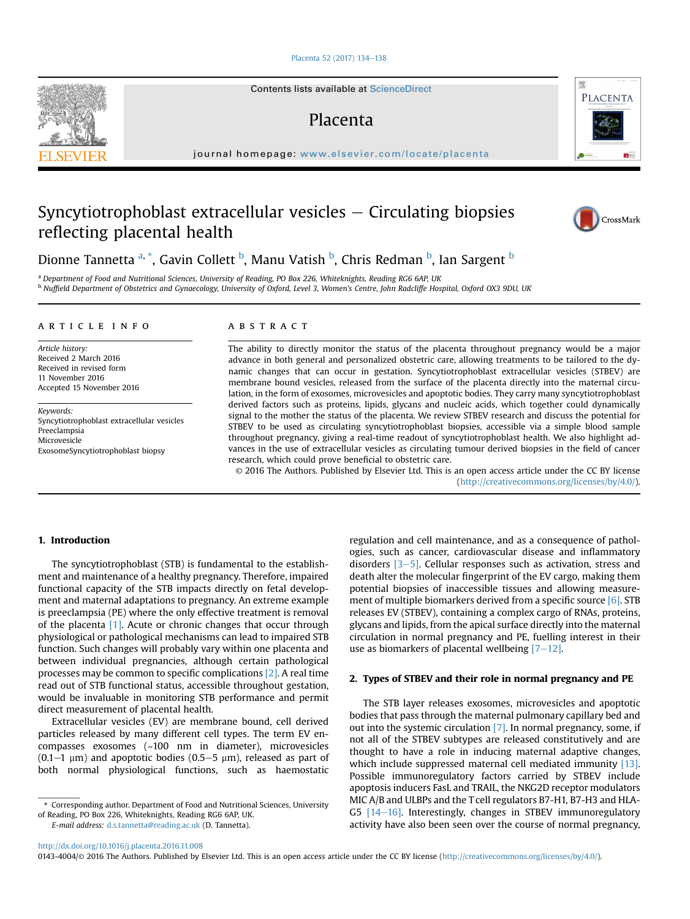#### [Placenta 52 \(2017\) 134](http://dx.doi.org/10.1016/j.placenta.2016.11.008)-[138](http://dx.doi.org/10.1016/j.placenta.2016.11.008)

# Syncytiotrophoblast extracellular vesicles  $-$  Circulating biopsies reflecting placental health

#### article info

Article history: Received 2 March 2016 Received in revised form 11 November 2016 Accepted 15 November 2016

Keywords: Syncytiotrophoblast extracellular vesicles Preeclampsia Microvesicle ExosomeSyncytiotrophoblast biopsy

## ABSTRACT

The ability to directly monitor the status of the placenta throughout pregnancy would be a major advance in both general and personalized obstetric care, allowing treatments to be tailored to the dynamic changes that can occur in gestation. Syncytiotrophoblast extracellular vesicles (STBEV) are membrane bound vesicles, released from the surface of the placenta directly into the maternal circulation, in the form of exosomes, microvesicles and apoptotic bodies. They carry many syncytiotrophoblast derived factors such as proteins, lipids, glycans and nucleic acids, which together could dynamically signal to the mother the status of the placenta. We review STBEV research and discuss the potential for STBEV to be used as circulating syncytiotrophoblast biopsies, accessible via a simple blood sample throughout pregnancy, giving a real-time readout of syncytiotrophoblast health. We also highlight advances in the use of extracellular vesicles as circulating tumour derived biopsies in the field of cancer research, which could prove beneficial to obstetric care.

© 2016 The Authors. Published by Elsevier Ltd. This is an open access article under the CC BY license [\(http://creativecommons.org/licenses/by/4.0/](http://creativecommons.org/licenses/by/4.0/)).

## 1. Introduction

The syncytiotrophoblast (STB) is fundamental to the establishment and maintenance of a healthy pregnancy. Therefore, impaired functional capacity of the STB impacts directly on fetal development and maternal adaptations to pregnancy. An extreme example is preeclampsia (PE) where the only effective treatment is removal of the placenta [\[1\].](#page-3-0) Acute or chronic changes that occur through physiological or pathological mechanisms can lead to impaired STB function. Such changes will probably vary within one placenta and between individual pregnancies, although certain pathological processes may be common to specific complications [\[2\]](#page-3-0). A real time read out of STB functional status, accessible throughout gestation, would be invaluable in monitoring STB performance and permit direct measurement of placental health.

Extracellular vesicles (EV) are membrane bound, cell derived particles released by many different cell types. The term EV encompasses exosomes (~100 nm in diameter), microvesicles  $(0.1-1 \mu m)$  and apoptotic bodies  $(0.5-5 \mu m)$ , released as part of both normal physiological functions, such as haemostatic

E-mail address: [d.s.tannetta@reading.ac.uk](mailto:d.s.tannetta@reading.ac.uk) (D. Tannetta).

regulation and cell maintenance, and as a consequence of pathologies, such as cancer, cardiovascular disease and inflammatory disorders  $[3-5]$  $[3-5]$ . Cellular responses such as activation, stress and death alter the molecular fingerprint of the EV cargo, making them potential biopsies of inaccessible tissues and allowing measure-ment of multiple biomarkers derived from a specific source [\[6\]](#page-3-0). STB releases EV (STBEV), containing a complex cargo of RNAs, proteins, glycans and lipids, from the apical surface directly into the maternal circulation in normal pregnancy and PE, fuelling interest in their use as biomarkers of placental wellbeing  $[7-12]$  $[7-12]$ .

CrossMark

#### 2. Types of STBEV and their role in normal pregnancy and PE

The STB layer releases exosomes, microvesicles and apoptotic bodies that pass through the maternal pulmonary capillary bed and out into the systemic circulation [\[7\].](#page-3-0) In normal pregnancy, some, if not all of the STBEV subtypes are released constitutively and are thought to have a role in inducing maternal adaptive changes, which include suppressed maternal cell mediated immunity [\[13\].](#page-3-0) Possible immunoregulatory factors carried by STBEV include apoptosis inducers FasL and TRAIL, the NKG2D receptor modulators MIC A/B and ULBPs and the T cell regulators B7-H1, B7-H3 and HLA-G5  $[14-16]$  $[14-16]$  $[14-16]$ . Interestingly, changes in STBEV immunoregulatory activity have also been seen over the course of normal pregnancy,





<sup>\*</sup> Corresponding author. Department of Food and Nutritional Sciences, University of Reading, PO Box 226, Whiteknights, Reading RG6 6AP, UK.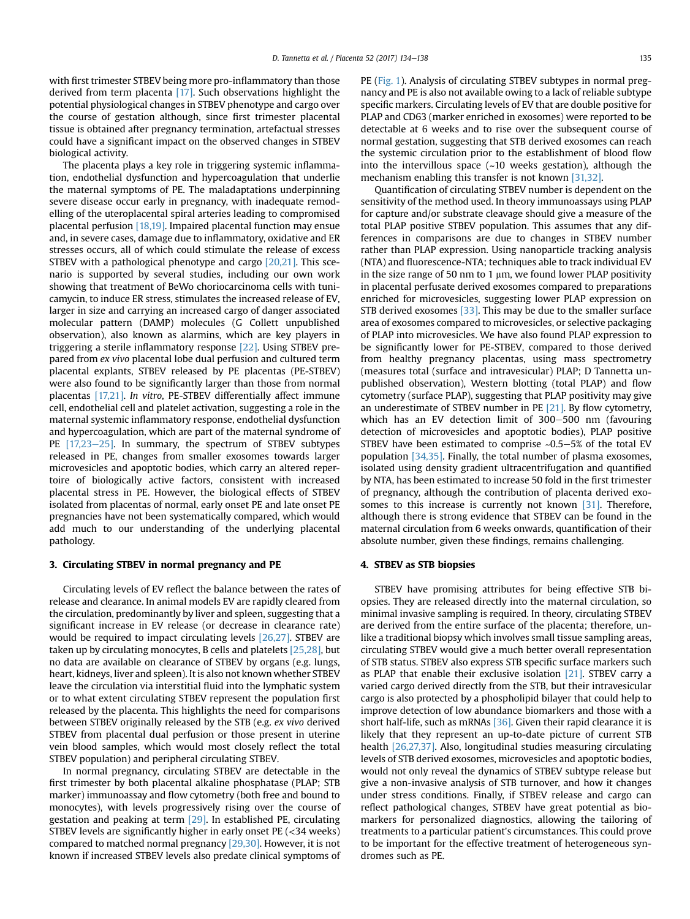with first trimester STBEV being more pro-inflammatory than those derived from term placenta [\[17\].](#page-4-0) Such observations highlight the potential physiological changes in STBEV phenotype and cargo over the course of gestation although, since first trimester placental tissue is obtained after pregnancy termination, artefactual stresses could have a significant impact on the observed changes in STBEV biological activity.

The placenta plays a key role in triggering systemic inflammation, endothelial dysfunction and hypercoagulation that underlie the maternal symptoms of PE. The maladaptations underpinning severe disease occur early in pregnancy, with inadequate remodelling of the uteroplacental spiral arteries leading to compromised placental perfusion [\[18,19\]](#page-4-0). Impaired placental function may ensue and, in severe cases, damage due to inflammatory, oxidative and ER stresses occurs, all of which could stimulate the release of excess STBEV with a pathological phenotype and cargo [\[20,21\]](#page-4-0). This scenario is supported by several studies, including our own work showing that treatment of BeWo choriocarcinoma cells with tunicamycin, to induce ER stress, stimulates the increased release of EV, larger in size and carrying an increased cargo of danger associated molecular pattern (DAMP) molecules (G Collett unpublished observation), also known as alarmins, which are key players in triggering a sterile inflammatory response [\[22\]](#page-4-0). Using STBEV prepared from ex vivo placental lobe dual perfusion and cultured term placental explants, STBEV released by PE placentas (PE-STBEV) were also found to be significantly larger than those from normal placentas [\[17,21\].](#page-4-0) In vitro, PE-STBEV differentially affect immune cell, endothelial cell and platelet activation, suggesting a role in the maternal systemic inflammatory response, endothelial dysfunction and hypercoagulation, which are part of the maternal syndrome of PE  $[17,23-25]$  $[17,23-25]$ . In summary, the spectrum of STBEV subtypes released in PE, changes from smaller exosomes towards larger microvesicles and apoptotic bodies, which carry an altered repertoire of biologically active factors, consistent with increased placental stress in PE. However, the biological effects of STBEV isolated from placentas of normal, early onset PE and late onset PE pregnancies have not been systematically compared, which would add much to our understanding of the underlying placental pathology.

#### 3. Circulating STBEV in normal pregnancy and PE

Circulating levels of EV reflect the balance between the rates of release and clearance. In animal models EV are rapidly cleared from the circulation, predominantly by liver and spleen, suggesting that a significant increase in EV release (or decrease in clearance rate) would be required to impact circulating levels [\[26,27\]](#page-4-0). STBEV are taken up by circulating monocytes, B cells and platelets [\[25,28\]](#page-4-0), but no data are available on clearance of STBEV by organs (e.g. lungs, heart, kidneys, liver and spleen). It is also not known whether STBEV leave the circulation via interstitial fluid into the lymphatic system or to what extent circulating STBEV represent the population first released by the placenta. This highlights the need for comparisons between STBEV originally released by the STB (e.g. ex vivo derived STBEV from placental dual perfusion or those present in uterine vein blood samples, which would most closely reflect the total STBEV population) and peripheral circulating STBEV.

In normal pregnancy, circulating STBEV are detectable in the first trimester by both placental alkaline phosphatase (PLAP; STB marker) immunoassay and flow cytometry (both free and bound to monocytes), with levels progressively rising over the course of gestation and peaking at term [\[29\].](#page-4-0) In established PE, circulating STBEV levels are significantly higher in early onset PE (<34 weeks) compared to matched normal pregnancy [\[29,30\]](#page-4-0). However, it is not known if increased STBEV levels also predate clinical symptoms of

PE [\(Fig. 1](#page-2-0)). Analysis of circulating STBEV subtypes in normal pregnancy and PE is also not available owing to a lack of reliable subtype specific markers. Circulating levels of EV that are double positive for PLAP and CD63 (marker enriched in exosomes) were reported to be detectable at 6 weeks and to rise over the subsequent course of normal gestation, suggesting that STB derived exosomes can reach the systemic circulation prior to the establishment of blood flow into the intervillous space  $(-10$  weeks gestation), although the mechanism enabling this transfer is not known [\[31,32\]](#page-4-0).

Quantification of circulating STBEV number is dependent on the sensitivity of the method used. In theory immunoassays using PLAP for capture and/or substrate cleavage should give a measure of the total PLAP positive STBEV population. This assumes that any differences in comparisons are due to changes in STBEV number rather than PLAP expression. Using nanoparticle tracking analysis (NTA) and fluorescence-NTA; techniques able to track individual EV in the size range of 50 nm to 1  $\mu$ m, we found lower PLAP positivity in placental perfusate derived exosomes compared to preparations enriched for microvesicles, suggesting lower PLAP expression on STB derived exosomes  $[33]$ . This may be due to the smaller surface area of exosomes compared to microvesicles, or selective packaging of PLAP into microvesicles. We have also found PLAP expression to be significantly lower for PE-STBEV, compared to those derived from healthy pregnancy placentas, using mass spectrometry (measures total (surface and intravesicular) PLAP; D Tannetta unpublished observation), Western blotting (total PLAP) and flow cytometry (surface PLAP), suggesting that PLAP positivity may give an underestimate of STBEV number in PE [\[21\].](#page-4-0) By flow cytometry, which has an EV detection limit of 300–500 nm (favouring detection of microvesicles and apoptotic bodies), PLAP positive STBEV have been estimated to comprise  $\sim 0.5-5\%$  of the total EV population [\[34,35\]](#page-4-0). Finally, the total number of plasma exosomes, isolated using density gradient ultracentrifugation and quantified by NTA, has been estimated to increase 50 fold in the first trimester of pregnancy, although the contribution of placenta derived exo-somes to this increase is currently not known [\[31\].](#page-4-0) Therefore, although there is strong evidence that STBEV can be found in the maternal circulation from 6 weeks onwards, quantification of their absolute number, given these findings, remains challenging.

#### 4. STBEV as STB biopsies

STBEV have promising attributes for being effective STB biopsies. They are released directly into the maternal circulation, so minimal invasive sampling is required. In theory, circulating STBEV are derived from the entire surface of the placenta; therefore, unlike a traditional biopsy which involves small tissue sampling areas, circulating STBEV would give a much better overall representation of STB status. STBEV also express STB specific surface markers such as PLAP that enable their exclusive isolation [\[21\].](#page-4-0) STBEV carry a varied cargo derived directly from the STB, but their intravesicular cargo is also protected by a phospholipid bilayer that could help to improve detection of low abundance biomarkers and those with a short half-life, such as mRNAs [\[36\]](#page-4-0). Given their rapid clearance it is likely that they represent an up-to-date picture of current STB health [\[26,27,37\]](#page-4-0). Also, longitudinal studies measuring circulating levels of STB derived exosomes, microvesicles and apoptotic bodies, would not only reveal the dynamics of STBEV subtype release but give a non-invasive analysis of STB turnover, and how it changes under stress conditions. Finally, if STBEV release and cargo can reflect pathological changes, STBEV have great potential as biomarkers for personalized diagnostics, allowing the tailoring of treatments to a particular patient's circumstances. This could prove to be important for the effective treatment of heterogeneous syndromes such as PE.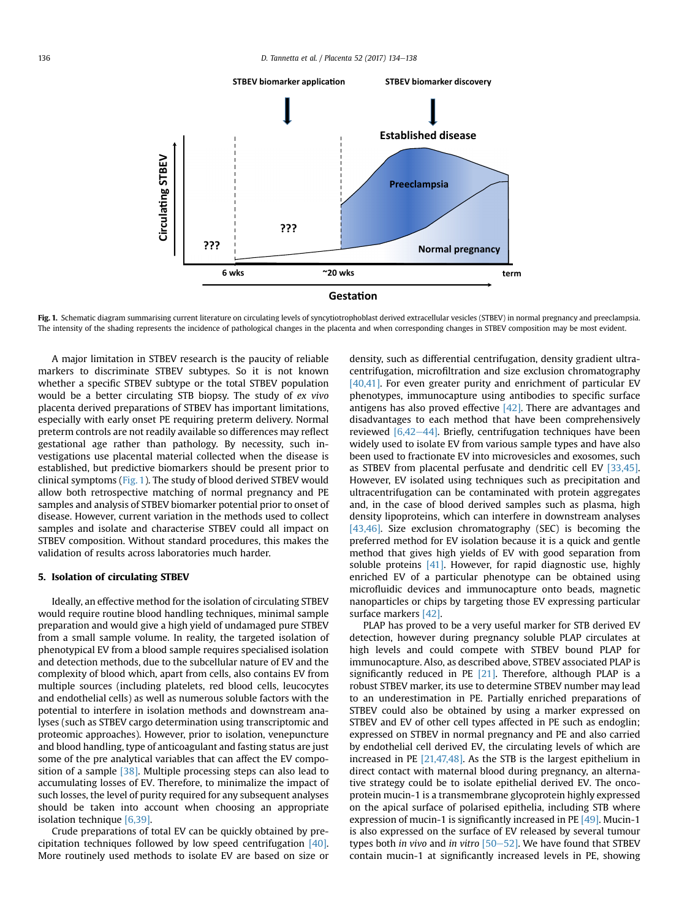<span id="page-2-0"></span>

Fig. 1. Schematic diagram summarising current literature on circulating levels of syncytiotrophoblast derived extracellular vesicles (STBEV) in normal pregnancy and preeclampsia. The intensity of the shading represents the incidence of pathological changes in the placenta and when corresponding changes in STBEV composition may be most evident.

A major limitation in STBEV research is the paucity of reliable markers to discriminate STBEV subtypes. So it is not known whether a specific STBEV subtype or the total STBEV population would be a better circulating STB biopsy. The study of ex vivo placenta derived preparations of STBEV has important limitations, especially with early onset PE requiring preterm delivery. Normal preterm controls are not readily available so differences may reflect gestational age rather than pathology. By necessity, such investigations use placental material collected when the disease is established, but predictive biomarkers should be present prior to clinical symptoms (Fig. 1). The study of blood derived STBEV would allow both retrospective matching of normal pregnancy and PE samples and analysis of STBEV biomarker potential prior to onset of disease. However, current variation in the methods used to collect samples and isolate and characterise STBEV could all impact on STBEV composition. Without standard procedures, this makes the validation of results across laboratories much harder.

#### 5. Isolation of circulating STBEV

Ideally, an effective method for the isolation of circulating STBEV would require routine blood handling techniques, minimal sample preparation and would give a high yield of undamaged pure STBEV from a small sample volume. In reality, the targeted isolation of phenotypical EV from a blood sample requires specialised isolation and detection methods, due to the subcellular nature of EV and the complexity of blood which, apart from cells, also contains EV from multiple sources (including platelets, red blood cells, leucocytes and endothelial cells) as well as numerous soluble factors with the potential to interfere in isolation methods and downstream analyses (such as STBEV cargo determination using transcriptomic and proteomic approaches). However, prior to isolation, venepuncture and blood handling, type of anticoagulant and fasting status are just some of the pre analytical variables that can affect the EV compo-sition of a sample [\[38\]](#page-4-0). Multiple processing steps can also lead to accumulating losses of EV. Therefore, to minimalize the impact of such losses, the level of purity required for any subsequent analyses should be taken into account when choosing an appropriate isolation technique [\[6,39\].](#page-3-0)

Crude preparations of total EV can be quickly obtained by precipitation techniques followed by low speed centrifugation [\[40\].](#page-4-0) More routinely used methods to isolate EV are based on size or density, such as differential centrifugation, density gradient ultracentrifugation, microfiltration and size exclusion chromatography [\[40,41\]](#page-4-0). For even greater purity and enrichment of particular EV phenotypes, immunocapture using antibodies to specific surface antigens has also proved effective  $[42]$ . There are advantages and disadvantages to each method that have been comprehensively reviewed  $[6,42-44]$  $[6,42-44]$ . Briefly, centrifugation techniques have been widely used to isolate EV from various sample types and have also been used to fractionate EV into microvesicles and exosomes, such as STBEV from placental perfusate and dendritic cell EV [\[33,45\].](#page-4-0) However, EV isolated using techniques such as precipitation and ultracentrifugation can be contaminated with protein aggregates and, in the case of blood derived samples such as plasma, high density lipoproteins, which can interfere in downstream analyses [\[43,46\].](#page-4-0) Size exclusion chromatography (SEC) is becoming the preferred method for EV isolation because it is a quick and gentle method that gives high yields of EV with good separation from soluble proteins [\[41\]](#page-4-0). However, for rapid diagnostic use, highly enriched EV of a particular phenotype can be obtained using microfluidic devices and immunocapture onto beads, magnetic nanoparticles or chips by targeting those EV expressing particular surface markers [\[42\]](#page-4-0).

PLAP has proved to be a very useful marker for STB derived EV detection, however during pregnancy soluble PLAP circulates at high levels and could compete with STBEV bound PLAP for immunocapture. Also, as described above, STBEV associated PLAP is significantly reduced in PE  $[21]$ . Therefore, although PLAP is a robust STBEV marker, its use to determine STBEV number may lead to an underestimation in PE. Partially enriched preparations of STBEV could also be obtained by using a marker expressed on STBEV and EV of other cell types affected in PE such as endoglin; expressed on STBEV in normal pregnancy and PE and also carried by endothelial cell derived EV, the circulating levels of which are increased in PE [\[21,47,48\].](#page-4-0) As the STB is the largest epithelium in direct contact with maternal blood during pregnancy, an alternative strategy could be to isolate epithelial derived EV. The oncoprotein mucin-1 is a transmembrane glycoprotein highly expressed on the apical surface of polarised epithelia, including STB where expression of mucin-1 is significantly increased in PE  $[49]$ . Mucin-1 is also expressed on the surface of EV released by several tumour types both in vivo and in vitro  $[50-52]$  $[50-52]$  $[50-52]$ . We have found that STBEV contain mucin-1 at significantly increased levels in PE, showing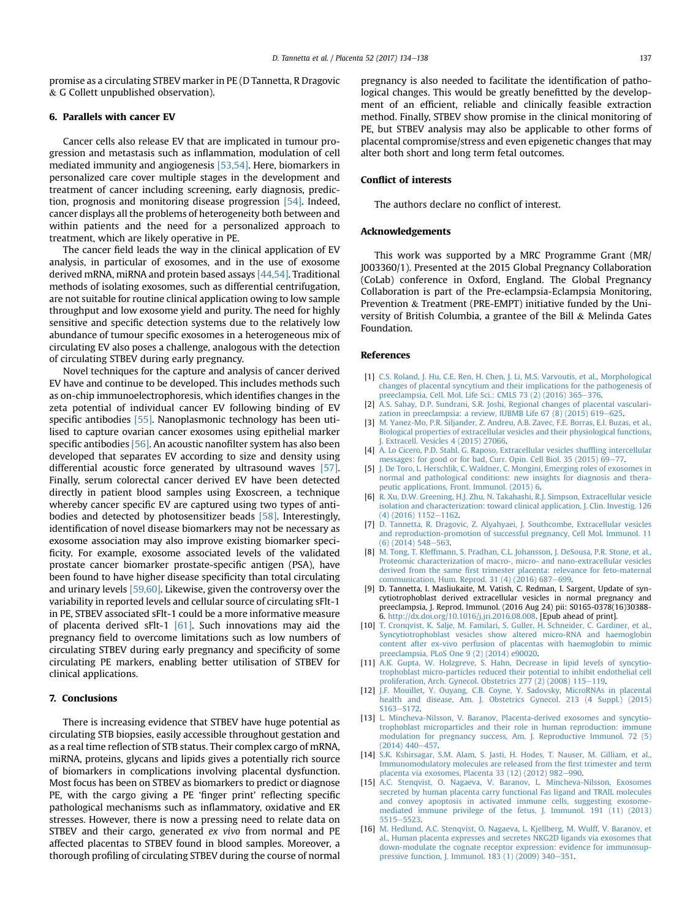<span id="page-3-0"></span>promise as a circulating STBEV marker in PE (D Tannetta, R Dragovic  $& G$  Collett unpublished observation).

# 6. Parallels with cancer EV

Cancer cells also release EV that are implicated in tumour progression and metastasis such as inflammation, modulation of cell mediated immunity and angiogenesis [\[53,54\]](#page-4-0). Here, biomarkers in personalized care cover multiple stages in the development and treatment of cancer including screening, early diagnosis, prediction, prognosis and monitoring disease progression [\[54\]](#page-4-0). Indeed, cancer displays all the problems of heterogeneity both between and within patients and the need for a personalized approach to treatment, which are likely operative in PE.

The cancer field leads the way in the clinical application of EV analysis, in particular of exosomes, and in the use of exosome derived mRNA, miRNA and protein based assays [\[44,54\]](#page-4-0). Traditional methods of isolating exosomes, such as differential centrifugation, are not suitable for routine clinical application owing to low sample throughput and low exosome yield and purity. The need for highly sensitive and specific detection systems due to the relatively low abundance of tumour specific exosomes in a heterogeneous mix of circulating EV also poses a challenge, analogous with the detection of circulating STBEV during early pregnancy.

Novel techniques for the capture and analysis of cancer derived EV have and continue to be developed. This includes methods such as on-chip immunoelectrophoresis, which identifies changes in the zeta potential of individual cancer EV following binding of EV specific antibodies [\[55\]](#page-4-0). Nanoplasmonic technology has been utilised to capture ovarian cancer exosomes using epithelial marker specific antibodies [\[56\].](#page-4-0) An acoustic nanofilter system has also been developed that separates EV according to size and density using differential acoustic force generated by ultrasound waves [\[57\].](#page-4-0) Finally, serum colorectal cancer derived EV have been detected directly in patient blood samples using Exoscreen, a technique whereby cancer specific EV are captured using two types of antibodies and detected by photosensitizer beads [\[58\]](#page-4-0). Interestingly, identification of novel disease biomarkers may not be necessary as exosome association may also improve existing biomarker specificity. For example, exosome associated levels of the validated prostate cancer biomarker prostate-specific antigen (PSA), have been found to have higher disease specificity than total circulating and urinary levels [\[59,60\].](#page-4-0) Likewise, given the controversy over the variability in reported levels and cellular source of circulating sFlt-1 in PE, STBEV associated sFlt-1 could be a more informative measure of placenta derived sFlt-1 [\[61\].](#page-4-0) Such innovations may aid the pregnancy field to overcome limitations such as low numbers of circulating STBEV during early pregnancy and specificity of some circulating PE markers, enabling better utilisation of STBEV for clinical applications.

## 7. Conclusions

There is increasing evidence that STBEV have huge potential as circulating STB biopsies, easily accessible throughout gestation and as a real time reflection of STB status. Their complex cargo of mRNA, miRNA, proteins, glycans and lipids gives a potentially rich source of biomarkers in complications involving placental dysfunction. Most focus has been on STBEV as biomarkers to predict or diagnose PE, with the cargo giving a PE 'finger print' reflecting specific pathological mechanisms such as inflammatory, oxidative and ER stresses. However, there is now a pressing need to relate data on STBEV and their cargo, generated ex vivo from normal and PE affected placentas to STBEV found in blood samples. Moreover, a thorough profiling of circulating STBEV during the course of normal pregnancy is also needed to facilitate the identification of pathological changes. This would be greatly benefitted by the development of an efficient, reliable and clinically feasible extraction method. Finally, STBEV show promise in the clinical monitoring of PE, but STBEV analysis may also be applicable to other forms of placental compromise/stress and even epigenetic changes that may alter both short and long term fetal outcomes.

# Conflict of interests

The authors declare no conflict of interest.

### Acknowledgements

This work was supported by a MRC Programme Grant (MR/ J003360/1). Presented at the 2015 Global Pregnancy Collaboration (CoLab) conference in Oxford, England. The Global Pregnancy Collaboration is part of the Pre-eclampsia-Eclampsia Monitoring, Prevention & Treatment (PRE-EMPT) initiative funded by the University of British Columbia, a grantee of the Bill & Melinda Gates Foundation.

#### References

- [1] [C.S. Roland, J. Hu, C.E. Ren, H. Chen, J. Li, M.S. Varvoutis, et al., Morphological](http://refhub.elsevier.com/S0143-4004(16)30637-3/sref1) [changes of placental syncytium and their implications for the pathogenesis of](http://refhub.elsevier.com/S0143-4004(16)30637-3/sref1) [preeclampsia, Cell. Mol. Life Sci.: CMLS 73 \(2\) \(2016\) 365](http://refhub.elsevier.com/S0143-4004(16)30637-3/sref1)-[376.](http://refhub.elsevier.com/S0143-4004(16)30637-3/sref1)
- [2] [A.S. Sahay, D.P. Sundrani, S.R. Joshi, Regional changes of placental vasculari](http://refhub.elsevier.com/S0143-4004(16)30637-3/sref2)zation in preeclampsia: a review, IUBMB Life  $67(8)(2015)$   $619-625$ .
- [3] [M. Yanez-Mo, P.R. Siljander, Z. Andreu, A.B. Zavec, F.E. Borras, E.I. Buzas, et al.,](http://refhub.elsevier.com/S0143-4004(16)30637-3/sref3) [Biological properties of extracellular vesicles and their physiological functions,](http://refhub.elsevier.com/S0143-4004(16)30637-3/sref3) [J. Extracell. Vesicles 4 \(2015\) 27066.](http://refhub.elsevier.com/S0143-4004(16)30637-3/sref3)
- [4] [A. Lo Cicero, P.D. Stahl, G. Raposo, Extracellular vesicles shuf](http://refhub.elsevier.com/S0143-4004(16)30637-3/sref4)fling intercellular [messages: for good or for bad, Curr. Opin. Cell Biol. 35 \(2015\) 69](http://refhub.elsevier.com/S0143-4004(16)30637-3/sref4)-[77.](http://refhub.elsevier.com/S0143-4004(16)30637-3/sref4)
- [5] [J. De Toro, L. Herschlik, C. Waldner, C. Mongini, Emerging roles of exosomes in](http://refhub.elsevier.com/S0143-4004(16)30637-3/sref5) [normal and pathological conditions: new insights for diagnosis and thera](http://refhub.elsevier.com/S0143-4004(16)30637-3/sref5)[peutic applications, Front. Immunol. \(2015\) 6](http://refhub.elsevier.com/S0143-4004(16)30637-3/sref5).
- [6] [R. Xu, D.W. Greening, H.J. Zhu, N. Takahashi, R.J. Simpson, Extracellular vesicle](http://refhub.elsevier.com/S0143-4004(16)30637-3/sref6) [isolation and characterization: toward clinical application, J. Clin. Investig. 126](http://refhub.elsevier.com/S0143-4004(16)30637-3/sref6)  $(4)$  (2016) 1152-[1162.](http://refhub.elsevier.com/S0143-4004(16)30637-3/sref6)
- [7] [D. Tannetta, R. Dragovic, Z. Alyahyaei, J. Southcombe, Extracellular vesicles](http://refhub.elsevier.com/S0143-4004(16)30637-3/sref7) [and reproduction-promotion of successful pregnancy, Cell Mol. Immunol. 11](http://refhub.elsevier.com/S0143-4004(16)30637-3/sref7)  $(6)$  (2014) 548-[563](http://refhub.elsevier.com/S0143-4004(16)30637-3/sref7).
- [8] [M. Tong, T. Kleffmann, S. Pradhan, C.L. Johansson, J. DeSousa, P.R. Stone, et al.,](http://refhub.elsevier.com/S0143-4004(16)30637-3/sref8) [Proteomic characterization of macro-, micro- and nano-extracellular vesicles](http://refhub.elsevier.com/S0143-4004(16)30637-3/sref8) derived from the same fi[rst trimester placenta: relevance for feto-maternal](http://refhub.elsevier.com/S0143-4004(16)30637-3/sref8) communication, Hum. Reprod. 31 (4)  $(2016)$  687–[699](http://refhub.elsevier.com/S0143-4004(16)30637-3/sref8).
- [9] D. Tannetta, I. Masliukaite, M. Vatish, C. Redman, I. Sargent, Update of syncytiotrophoblast derived extracellular vesicles in normal pregnancy and preeclampsia, J. Reprod. Immunol. (2016 Aug 24) pii: S0165-0378(16)30388- 6. [http://dx.doi.org/10.1016/j.jri.2016.08.008.](http://dx.doi.org/10.1016/j.jri.2016.08.008) [Epub ahead of print].
- [10] [T. Cronqvist, K. Salje, M. Familari, S. Guller, H. Schneider, C. Gardiner, et al.,](http://refhub.elsevier.com/S0143-4004(16)30637-3/sref10) [Syncytiotrophoblast vesicles show altered micro-RNA and haemoglobin](http://refhub.elsevier.com/S0143-4004(16)30637-3/sref10) [content after ex-vivo perfusion of placentas with haemoglobin to mimic](http://refhub.elsevier.com/S0143-4004(16)30637-3/sref10) [preeclampsia, PLoS One 9 \(2\) \(2014\) e90020.](http://refhub.elsevier.com/S0143-4004(16)30637-3/sref10)
- [11] [A.K. Gupta, W. Holzgreve, S. Hahn, Decrease in lipid levels of syncytio](http://refhub.elsevier.com/S0143-4004(16)30637-3/sref11)[trophoblast micro-particles reduced their potential to inhibit endothelial cell](http://refhub.elsevier.com/S0143-4004(16)30637-3/sref11) proliferation, Arch. Gynecol. Obstetrics  $277(2)(2008)$  115-[119](http://refhub.elsevier.com/S0143-4004(16)30637-3/sref11).
- [12] [J.F. Mouillet, Y. Ouyang, C.B. Coyne, Y. Sadovsky, MicroRNAs in placental](http://refhub.elsevier.com/S0143-4004(16)30637-3/sref12) [health and disease, Am. J. Obstetrics Gynecol. 213 \(4 Suppl.\) \(2015\)](http://refhub.elsevier.com/S0143-4004(16)30637-3/sref12)  $S163 - S172$  $S163 - S172$  $S163 - S172$
- [13] [L. Mincheva-Nilsson, V. Baranov, Placenta-derived exosomes and syncytio](http://refhub.elsevier.com/S0143-4004(16)30637-3/sref13)[trophoblast microparticles and their role in human reproduction: immune](http://refhub.elsevier.com/S0143-4004(16)30637-3/sref13) [modulation for pregnancy success, Am. J. Reproductive Immunol. 72 \(5\)](http://refhub.elsevier.com/S0143-4004(16)30637-3/sref13)  $(2014)$  440-[457.](http://refhub.elsevier.com/S0143-4004(16)30637-3/sref13)
- [14] [S.K. Kshirsagar, S.M. Alam, S. Jasti, H. Hodes, T. Nauser, M. Gilliam, et al.,](http://refhub.elsevier.com/S0143-4004(16)30637-3/sref14) [Immunomodulatory molecules are released from the](http://refhub.elsevier.com/S0143-4004(16)30637-3/sref14) first trimester and term [placenta via exosomes, Placenta 33 \(12\) \(2012\) 982](http://refhub.elsevier.com/S0143-4004(16)30637-3/sref14)-[990](http://refhub.elsevier.com/S0143-4004(16)30637-3/sref14).
- [15] [A.C. Stenqvist, O. Nagaeva, V. Baranov, L. Mincheva-Nilsson, Exosomes](http://refhub.elsevier.com/S0143-4004(16)30637-3/sref15) [secreted by human placenta carry functional Fas ligand and TRAIL molecules](http://refhub.elsevier.com/S0143-4004(16)30637-3/sref15) [and convey apoptosis in activated immune cells, suggesting exosome](http://refhub.elsevier.com/S0143-4004(16)30637-3/sref15)[mediated immune privilege of the fetus, J. Immunol. 191 \(11\) \(2013\)](http://refhub.elsevier.com/S0143-4004(16)30637-3/sref15) [5515](http://refhub.elsevier.com/S0143-4004(16)30637-3/sref15)-[5523](http://refhub.elsevier.com/S0143-4004(16)30637-3/sref15).
- [16] [M. Hedlund, A.C. Stenqvist, O. Nagaeva, L. Kjellberg, M. Wulff, V. Baranov, et](http://refhub.elsevier.com/S0143-4004(16)30637-3/sref16) [al., Human placenta expresses and secretes NKG2D ligands via exosomes that](http://refhub.elsevier.com/S0143-4004(16)30637-3/sref16) [down-modulate the cognate receptor expression: evidence for immunosup](http://refhub.elsevier.com/S0143-4004(16)30637-3/sref16)[pressive function, J. Immunol. 183 \(1\) \(2009\) 340](http://refhub.elsevier.com/S0143-4004(16)30637-3/sref16)-[351](http://refhub.elsevier.com/S0143-4004(16)30637-3/sref16).